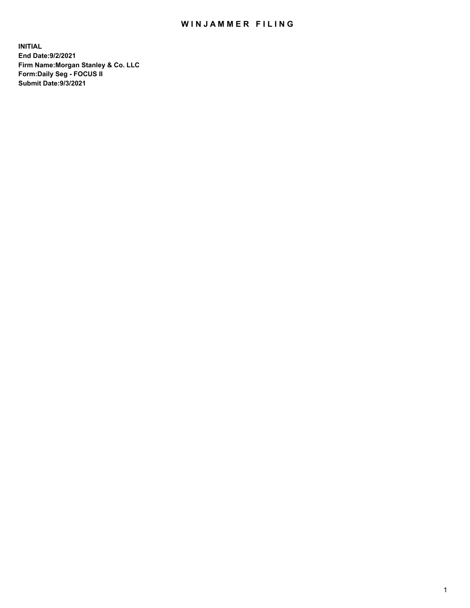## WIN JAMMER FILING

**INITIAL End Date:9/2/2021 Firm Name:Morgan Stanley & Co. LLC Form:Daily Seg - FOCUS II Submit Date:9/3/2021**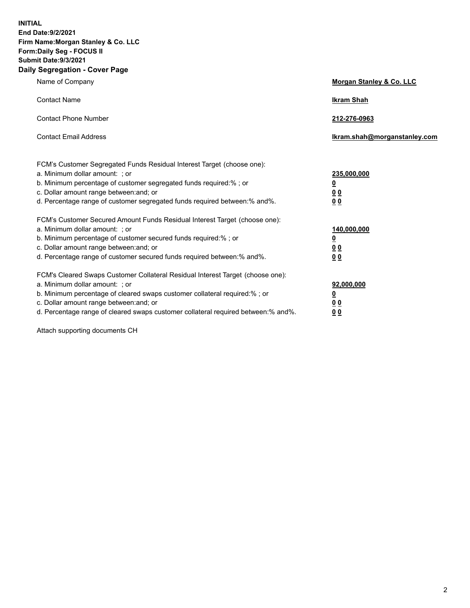**INITIAL End Date:9/2/2021 Firm Name:Morgan Stanley & Co. LLC Form:Daily Seg - FOCUS II Submit Date:9/3/2021 Daily Segregation - Cover Page**

| Name of Company                                                                                                                                                                                                                                                                                                               | Morgan Stanley & Co. LLC                                       |
|-------------------------------------------------------------------------------------------------------------------------------------------------------------------------------------------------------------------------------------------------------------------------------------------------------------------------------|----------------------------------------------------------------|
| <b>Contact Name</b>                                                                                                                                                                                                                                                                                                           | <b>Ikram Shah</b>                                              |
| <b>Contact Phone Number</b>                                                                                                                                                                                                                                                                                                   | 212-276-0963                                                   |
| <b>Contact Email Address</b>                                                                                                                                                                                                                                                                                                  | Ikram.shah@morganstanley.com                                   |
| FCM's Customer Segregated Funds Residual Interest Target (choose one):<br>a. Minimum dollar amount: ; or<br>b. Minimum percentage of customer segregated funds required:% ; or<br>c. Dollar amount range between: and; or<br>d. Percentage range of customer segregated funds required between:% and%.                        | 235,000,000<br><u>0</u><br><u>0 0</u><br>0 Q                   |
| FCM's Customer Secured Amount Funds Residual Interest Target (choose one):<br>a. Minimum dollar amount: ; or<br>b. Minimum percentage of customer secured funds required:%; or<br>c. Dollar amount range between: and; or<br>d. Percentage range of customer secured funds required between: % and %.                         | 140,000,000<br><u>0</u><br><u>00</u><br>0 <sup>0</sup>         |
| FCM's Cleared Swaps Customer Collateral Residual Interest Target (choose one):<br>a. Minimum dollar amount: ; or<br>b. Minimum percentage of cleared swaps customer collateral required:%; or<br>c. Dollar amount range between: and; or<br>d. Percentage range of cleared swaps customer collateral required between:% and%. | 92,000,000<br>$\overline{\mathbf{0}}$<br>0 Q<br>0 <sub>0</sub> |

Attach supporting documents CH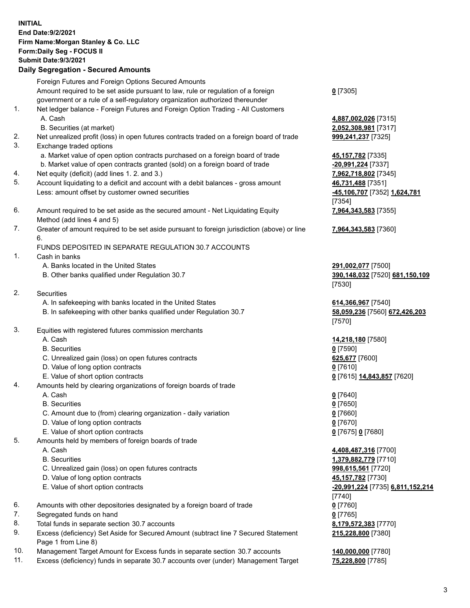|    | <b>INITIAL</b>                                                                              |                                  |
|----|---------------------------------------------------------------------------------------------|----------------------------------|
|    | End Date: 9/2/2021                                                                          |                                  |
|    | Firm Name: Morgan Stanley & Co. LLC                                                         |                                  |
|    | Form: Daily Seg - FOCUS II                                                                  |                                  |
|    |                                                                                             |                                  |
|    | <b>Submit Date: 9/3/2021</b>                                                                |                                  |
|    | <b>Daily Segregation - Secured Amounts</b>                                                  |                                  |
|    | Foreign Futures and Foreign Options Secured Amounts                                         |                                  |
|    | Amount required to be set aside pursuant to law, rule or regulation of a foreign            | $0$ [7305]                       |
|    | government or a rule of a self-regulatory organization authorized thereunder                |                                  |
| 1. | Net ledger balance - Foreign Futures and Foreign Option Trading - All Customers             |                                  |
|    |                                                                                             |                                  |
|    | A. Cash                                                                                     | 4,887,002,026 [7315]             |
|    | B. Securities (at market)                                                                   | 2,052,308,981 [7317]             |
| 2. | Net unrealized profit (loss) in open futures contracts traded on a foreign board of trade   | 999,241,237 [7325]               |
| 3. | Exchange traded options                                                                     |                                  |
|    | a. Market value of open option contracts purchased on a foreign board of trade              | 45, 157, 782 [7335]              |
|    | b. Market value of open contracts granted (sold) on a foreign board of trade                | -20,991,224 [7337]               |
| 4. | Net equity (deficit) (add lines 1. 2. and 3.)                                               | 7,962,718,802 [7345]             |
| 5. | Account liquidating to a deficit and account with a debit balances - gross amount           | 46,731,488 [7351]                |
|    | Less: amount offset by customer owned securities                                            | -45,106,707 [7352] 1,624,781     |
|    |                                                                                             |                                  |
|    |                                                                                             | [7354]                           |
| 6. | Amount required to be set aside as the secured amount - Net Liquidating Equity              | 7,964,343,583 [7355]             |
|    | Method (add lines 4 and 5)                                                                  |                                  |
| 7. | Greater of amount required to be set aside pursuant to foreign jurisdiction (above) or line | 7,964,343,583 [7360]             |
|    | 6.                                                                                          |                                  |
|    | FUNDS DEPOSITED IN SEPARATE REGULATION 30.7 ACCOUNTS                                        |                                  |
| 1. | Cash in banks                                                                               |                                  |
|    | A. Banks located in the United States                                                       | 291,002,077 [7500]               |
|    | B. Other banks qualified under Regulation 30.7                                              | 390,148,032 [7520] 681,150,109   |
|    |                                                                                             | [7530]                           |
| 2. | Securities                                                                                  |                                  |
|    |                                                                                             |                                  |
|    | A. In safekeeping with banks located in the United States                                   | 614,366,967 [7540]               |
|    | B. In safekeeping with other banks qualified under Regulation 30.7                          | 58,059,236 [7560] 672,426,203    |
|    |                                                                                             | [7570]                           |
| 3. | Equities with registered futures commission merchants                                       |                                  |
|    | A. Cash                                                                                     | 14,218,180 [7580]                |
|    | <b>B.</b> Securities                                                                        | $0$ [7590]                       |
|    | C. Unrealized gain (loss) on open futures contracts                                         | 625,677 [7600]                   |
|    | D. Value of long option contracts                                                           | $0$ [7610]                       |
|    | E. Value of short option contracts                                                          | 0 [7615] 14,843,857 [7620]       |
| 4. | Amounts held by clearing organizations of foreign boards of trade                           |                                  |
|    | A. Cash                                                                                     |                                  |
|    |                                                                                             | $0$ [7640]                       |
|    | <b>B.</b> Securities                                                                        | $0$ [7650]                       |
|    | C. Amount due to (from) clearing organization - daily variation                             | $0$ [7660]                       |
|    | D. Value of long option contracts                                                           | $0$ [7670]                       |
|    | E. Value of short option contracts                                                          | 0 [7675] 0 [7680]                |
| 5. | Amounts held by members of foreign boards of trade                                          |                                  |
|    | A. Cash                                                                                     | 4,408,487,316 [7700]             |
|    | <b>B.</b> Securities                                                                        | 1,379,882,779 [7710]             |
|    | C. Unrealized gain (loss) on open futures contracts                                         | 998,615,561 [7720]               |
|    | D. Value of long option contracts                                                           | 45,157,782 [7730]                |
|    | E. Value of short option contracts                                                          | -20,991,224 [7735] 6,811,152,214 |
|    |                                                                                             |                                  |
|    |                                                                                             | $[7740]$                         |
| 6. | Amounts with other depositories designated by a foreign board of trade                      | $0$ [7760]                       |
| 7. | Segregated funds on hand                                                                    | $0$ [7765]                       |

- 8. Total funds in separate section 30.7 accounts **8,179,572,383** [7770]
- 9. Excess (deficiency) Set Aside for Secured Amount (subtract line 7 Secured Statement Page 1 from Line 8)
- 10. Management Target Amount for Excess funds in separate section 30.7 accounts **140,000,000** [7780]
- 11. Excess (deficiency) funds in separate 30.7 accounts over (under) Management Target **75,228,800** [7785]

**215,228,800** [7380]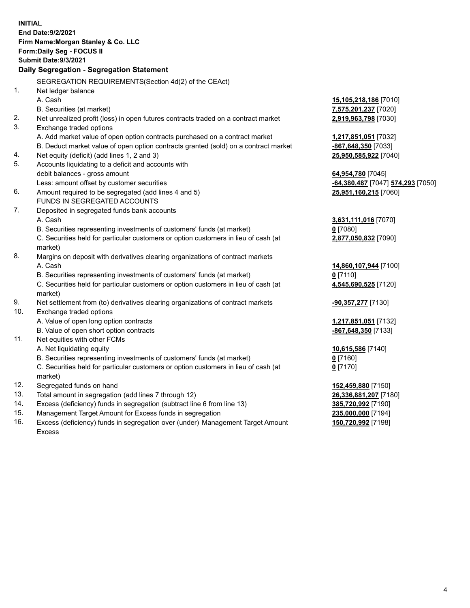| <b>INITIAL</b> | End Date: 9/2/2021<br>Firm Name: Morgan Stanley & Co. LLC<br>Form: Daily Seg - FOCUS II        |                                                |
|----------------|------------------------------------------------------------------------------------------------|------------------------------------------------|
|                | <b>Submit Date: 9/3/2021</b>                                                                   |                                                |
|                | Daily Segregation - Segregation Statement                                                      |                                                |
|                | SEGREGATION REQUIREMENTS(Section 4d(2) of the CEAct)                                           |                                                |
| 1.             | Net ledger balance                                                                             |                                                |
|                | A. Cash                                                                                        | 15,105,218,186 [7010]                          |
|                | B. Securities (at market)                                                                      | 7,575,201,237 [7020]                           |
| 2.             | Net unrealized profit (loss) in open futures contracts traded on a contract market             | 2,919,963,798 [7030]                           |
| 3.             | Exchange traded options                                                                        |                                                |
|                | A. Add market value of open option contracts purchased on a contract market                    | <u>1,217,851,051</u> [7032]                    |
|                | B. Deduct market value of open option contracts granted (sold) on a contract market            | <u>-867,648,350</u> [7033]                     |
| 4.             | Net equity (deficit) (add lines 1, 2 and 3)                                                    | <u>25,950,585,922</u> [7040]                   |
| 5.             | Accounts liquidating to a deficit and accounts with                                            |                                                |
|                | debit balances - gross amount                                                                  | 64,954,780 [7045]                              |
|                | Less: amount offset by customer securities                                                     | <mark>-64,380,487</mark> [7047] 574,293 [7050] |
| 6.             | Amount required to be segregated (add lines 4 and 5)                                           | 25,951,160,215 [7060]                          |
|                | FUNDS IN SEGREGATED ACCOUNTS                                                                   |                                                |
| 7.             | Deposited in segregated funds bank accounts                                                    |                                                |
|                | A. Cash                                                                                        | <u>3,631,111,016</u> [7070]                    |
|                | B. Securities representing investments of customers' funds (at market)                         | 0 [7080]                                       |
|                | C. Securities held for particular customers or option customers in lieu of cash (at<br>market) | 2,877,050,832 [7090]                           |
| 8.             | Margins on deposit with derivatives clearing organizations of contract markets                 |                                                |
|                | A. Cash                                                                                        | 14,860,107,944 [7100]                          |
|                | B. Securities representing investments of customers' funds (at market)                         | 0 [7110]                                       |
|                | C. Securities held for particular customers or option customers in lieu of cash (at<br>market) | 4,545,690,525 [7120]                           |
| 9.             | Net settlement from (to) derivatives clearing organizations of contract markets                | <u>-90,357,277</u> [7130]                      |
| 10.            | Exchange traded options                                                                        |                                                |
|                | A. Value of open long option contracts                                                         | <u>1,217,851,051</u> [7132]                    |
|                | B. Value of open short option contracts                                                        | -867,648,350 [7133]                            |
| 11.            | Net equities with other FCMs                                                                   |                                                |
|                | A. Net liquidating equity                                                                      | 10,615,586 [7140]                              |
|                | B. Securities representing investments of customers' funds (at market)                         | $0$ [7160]                                     |
|                | C. Securities held for particular customers or option customers in lieu of cash (at<br>market) | $0$ [7170]                                     |
| 12.            | Segregated funds on hand                                                                       | <b>152,459,880</b> [7150]                      |
| 13.            | Total amount in segregation (add lines 7 through 12)                                           | 26,336,881,207 [7180]                          |
| 14.            | Excess (deficiency) funds in segregation (subtract line 6 from line 13)                        | 385,720,992 [7190]                             |
| 15.            | Management Target Amount for Excess funds in segregation                                       | 235,000,000 [7194]                             |

16. Excess (deficiency) funds in segregation over (under) Management Target Amount Excess

## **150,720,992** [7198]